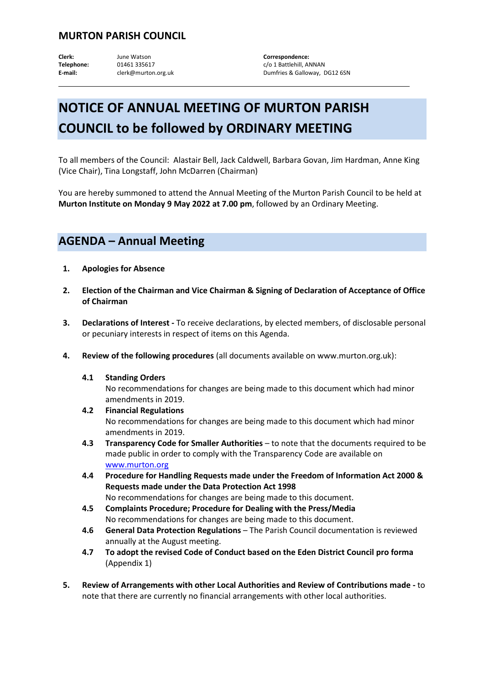## **MURTON PARISH COUNCIL**

**Clerk:** June Watson **Correspondence:** Telephone: 01461 335617 c/o 1 Battlehill, ANNAN E-mail: clerk@murton.org.uk Dumfries & Galloway, DG12 6SN

## **NOTICE OF ANNUAL MEETING OF MURTON PARISH COUNCIL to be followed by ORDINARY MEETING**

To all members of the Council: Alastair Bell, Jack Caldwell, Barbara Govan, Jim Hardman, Anne King (Vice Chair), Tina Longstaff, John McDarren (Chairman)

You are hereby summoned to attend the Annual Meeting of the Murton Parish Council to be held at **Murton Institute on Monday 9 May 2022 at 7.00 pm**, followed by an Ordinary Meeting.

## **AGENDA – Annual Meeting**

- **1. Apologies for Absence**
- **2. Election of the Chairman and Vice Chairman & Signing of Declaration of Acceptance of Office of Chairman**
- **3. Declarations of Interest -** To receive declarations, by elected members, of disclosable personal or pecuniary interests in respect of items on this Agenda.
- **4. Review of the following procedures** (all documents available on www.murton.org.uk):
	- **4.1 Standing Orders**

No recommendations for changes are being made to this document which had minor amendments in 2019.

- **4.2 Financial Regulations**  No recommendations for changes are being made to this document which had minor amendments in 2019.
- **4.3 Transparency Code for Smaller Authorities** to note that the documents required to be made public in order to comply with the Transparency Code are available on [www.murton.org](http://www.murton.org/)
- **4.4 Procedure for Handling Requests made under the Freedom of Information Act 2000 & Requests made under the Data Protection Act 1998** No recommendations for changes are being made to this document.
- **4.5 Complaints Procedure; Procedure for Dealing with the Press/Media** No recommendations for changes are being made to this document.
- **4.6 General Data Protection Regulations** The Parish Council documentation is reviewed annually at the August meeting.
- **4.7 To adopt the revised Code of Conduct based on the Eden District Council pro forma** (Appendix 1)
- **5. Review of Arrangements with other Local Authorities and Review of Contributions made -** to note that there are currently no financial arrangements with other local authorities.